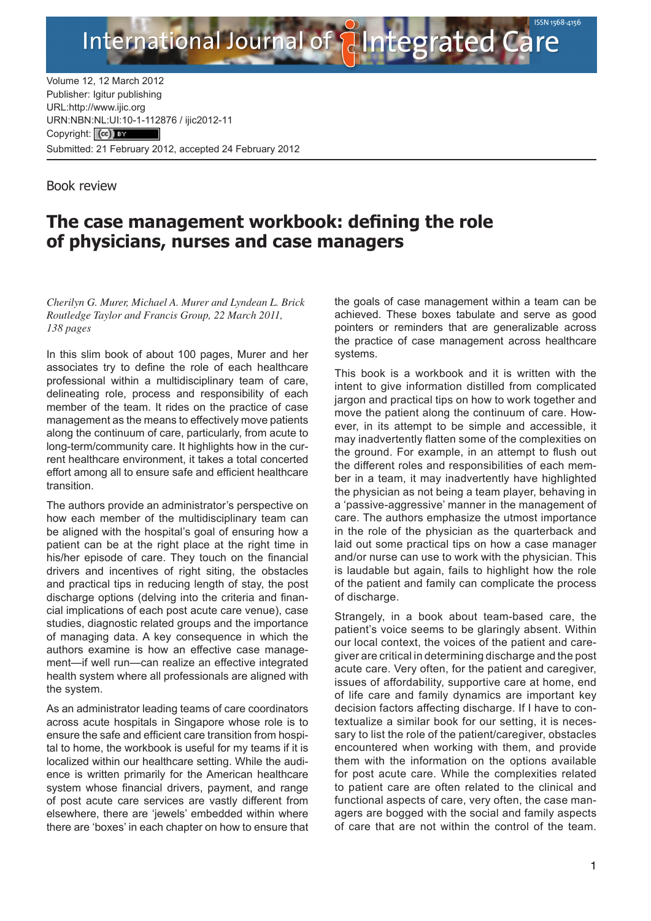

Volume 12, 12 March 2012 Publisher: Igitur publishing URL[:http://www.ijic.org](http://www.ijic.org) URN:NBN[:NL:UI:10-1-1128](http://creativecommons.org/licenses/by/3.0/)76 / ijic2012-11 Copyright: (cc) Tax Submitted: 21 February 2012, accepted 24 February 2012

Book review

## **The case management workbook: defining the role of physicians, nurses and case managers**

*Cherilyn G. Murer, Michael A. Murer and Lyndean L. Brick Routledge Taylor and Francis Group, 22 March 2011, 138 pages*

In this slim book of about 100 pages, Murer and her associates try to define the role of each healthcare professional within a multidisciplinary team of care, delineating role, process and responsibility of each member of the team. It rides on the practice of case management as the means to effectively move patients along the continuum of care, particularly, from acute to long-term/community care. It highlights how in the current healthcare environment, it takes a total concerted effort among all to ensure safe and efficient healthcare transition.

The authors provide an administrator's perspective on how each member of the multidisciplinary team can be aligned with the hospital's goal of ensuring how a patient can be at the right place at the right time in his/her episode of care. They touch on the financial drivers and incentives of right siting, the obstacles and practical tips in reducing length of stay, the post discharge options (delving into the criteria and financial implications of each post acute care venue), case studies, diagnostic related groups and the importance of managing data. A key consequence in which the authors examine is how an effective case management—if well run—can realize an effective integrated health system where all professionals are aligned with the system.

As an administrator leading teams of care coordinators across acute hospitals in Singapore whose role is to ensure the safe and efficient care transition from hospital to home, the workbook is useful for my teams if it is localized within our healthcare setting. While the audience is written primarily for the American healthcare system whose financial drivers, payment, and range of post acute care services are vastly different from elsewhere, there are 'jewels' embedded within where there are 'boxes' in each chapter on how to ensure that the goals of case management within a team can be achieved. These boxes tabulate and serve as good pointers or reminders that are generalizable across the practice of case management across healthcare systems.

This book is a workbook and it is written with the intent to give information distilled from complicated jargon and practical tips on how to work together and move the patient along the continuum of care. However, in its attempt to be simple and accessible, it may inadvertently flatten some of the complexities on the ground. For example, in an attempt to flush out the different roles and responsibilities of each member in a team, it may inadvertently have highlighted the physician as not being a team player, behaving in a 'passive-aggressive' manner in the management of care. The authors emphasize the utmost importance in the role of the physician as the quarterback and laid out some practical tips on how a case manager and/or nurse can use to work with the physician. This is laudable but again, fails to highlight how the role of the patient and family can complicate the process of discharge.

Strangely, in a book about team-based care, the patient's voice seems to be glaringly absent. Within our local context, the voices of the patient and caregiver are critical in determining discharge and the post acute care. Very often, for the patient and caregiver, issues of affordability, supportive care at home, end of life care and family dynamics are important key decision factors affecting discharge. If I have to contextualize a similar book for our setting, it is necessary to list the role of the patient/caregiver, obstacles encountered when working with them, and provide them with the information on the options available for post acute care. While the complexities related to patient care are often related to the clinical and functional aspects of care, very often, the case managers are bogged with the social and family aspects of care that are not within the control of the team.